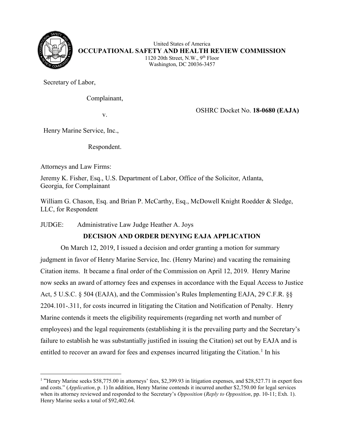

United States of America **OCCUPATIONAL SAFETY AND HEALTH REVIEW COMMISSION** 1120 20th Street, N.W., 9th Floor Washington, DC 20036-3457

Secretary of Labor,

Complainant,

v. OSHRC Docket No. **18-0680 (EAJA)**

Henry Marine Service, Inc.,

Respondent.

Attorneys and Law Firms:

Jeremy K. Fisher, Esq., U.S. Department of Labor, Office of the Solicitor, Atlanta, Georgia, for Complainant

William G. Chason, Esq. and Brian P. McCarthy, Esq., McDowell Knight Roedder & Sledge, LLC, for Respondent

JUDGE: Administrative Law Judge Heather A. Joys

# **DECISION AND ORDER DENYING EAJA APPLICATION**

 On March 12, 2019, I issued a decision and order granting a motion for summary judgment in favor of Henry Marine Service, Inc. (Henry Marine) and vacating the remaining Citation items. It became a final order of the Commission on April 12, 2019. Henry Marine now seeks an award of attorney fees and expenses in accordance with the Equal Access to Justice Act, 5 U.S.C. § 504 (EAJA), and the Commission's Rules Implementing EAJA, 29 C.F.R. §§ 2204.101-.311, for costs incurred in litigating the Citation and Notification of Penalty. Henry Marine contends it meets the eligibility requirements (regarding net worth and number of employees) and the legal requirements (establishing it is the prevailing party and the Secretary's failure to establish he was substantially justified in issuing the Citation) set out by EAJA and is entitled to recover an award for fees and expenses incurred litigating the Citation.<sup>[1](#page-0-0)</sup> In his

<span id="page-0-0"></span><sup>&</sup>lt;sup>1</sup> "Henry Marine seeks \$58,775.00 in attorneys' fees, \$2,399.93 in litigation expenses, and \$28,527.71 in expert fees and costs." (*Application*, p. 1) In addition, Henry Marine contends it incurred another \$2,750.00 for legal services when its attorney reviewed and responded to the Secretary's *Opposition* (*Reply to Opposition*, pp. 10-11; Exh. 1). Henry Marine seeks a total of \$92,402.64.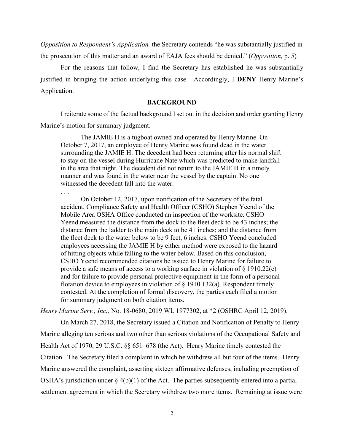*Opposition to Respondent's Application,* the Secretary contends "he was substantially justified in the prosecution of this matter and an award of EAJA fees should be denied." (*Opposition,* p. 5)

For the reasons that follow, I find the Secretary has established he was substantially justified in bringing the action underlying this case. Accordingly, I **DENY** Henry Marine's Application.

#### **BACKGROUND**

I reiterate some of the factual background I set out in the decision and order granting Henry Marine's motion for summary judgment.

The JAMIE H is a tugboat owned and operated by Henry Marine. On October 7, 2017, an employee of Henry Marine was found dead in the water surrounding the JAMIE H. The decedent had been returning after his normal shift to stay on the vessel during Hurricane Nate which was predicted to make landfall in the area that night. The decedent did not return to the JAMIE H in a timely manner and was found in the water near the vessel by the captain. No one witnessed the decedent fall into the water.

. . .

On October 12, 2017, upon notification of the Secretary of the fatal accident, Compliance Safety and Health Officer (CSHO) Stephen Yeend of the Mobile Area OSHA Office conducted an inspection of the worksite. CSHO Yeend measured the distance from the dock to the fleet deck to be 43 inches; the distance from the ladder to the main deck to be 41 inches; and the distance from the fleet deck to the water below to be 9 feet, 6 inches. CSHO Yeend concluded employees accessing the JAMIE H by either method were exposed to the hazard of hitting objects while falling to the water below. Based on this conclusion, CSHO Yeend recommended citations be issued to Henry Marine for failure to provide a safe means of access to a working surface in violation of  $\S$  1910.22(c) and for failure to provide personal protective equipment in the form of a personal flotation device to employees in violation of  $\S$  1910.132(a). Respondent timely contested. At the completion of formal discovery, the parties each filed a motion for summary judgment on both citation items.

*Henry Marine Serv., Inc.,* No. 18-0680, 2019 WL 1977302, at \*2 (OSHRC April 12, 2019).

 On March 27, 2018, the Secretary issued a Citation and Notification of Penalty to Henry Marine alleging ten serious and two other than serious violations of the Occupational Safety and Health Act of 1970, 29 U.S.C. §§ 651–678 (the Act). Henry Marine timely contested the Citation. The Secretary filed a complaint in which he withdrew all but four of the items. Henry Marine answered the complaint, asserting sixteen affirmative defenses, including preemption of OSHA's jurisdiction under  $\S 4(b)(1)$  of the Act. The parties subsequently entered into a partial settlement agreement in which the Secretary withdrew two more items. Remaining at issue were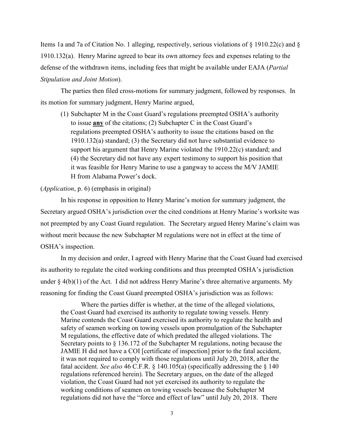Items 1a and 7a of Citation No. 1 alleging, respectively, serious violations of § 1910.22(c) and § 1910.132(a). Henry Marine agreed to bear its own attorney fees and expenses relating to the defense of the withdrawn items, including fees that might be available under EAJA (*Partial Stipulation and Joint Motion*).

The parties then filed cross-motions for summary judgment, followed by responses. In its motion for summary judgment, Henry Marine argued,

(1) Subchapter M in the Coast Guard's regulations preempted OSHA's authority to issue **any** of the citations; (2) Subchapter C in the Coast Guard's regulations preempted OSHA's authority to issue the citations based on the 1910.132(a) standard; (3) the Secretary did not have substantial evidence to support his argument that Henry Marine violated the 1910.22(c) standard; and (4) the Secretary did not have any expert testimony to support his position that it was feasible for Henry Marine to use a gangway to access the M/V JAMIE H from Alabama Power's dock.

#### (*Application*, p. 6) (emphasis in original)

 In his response in opposition to Henry Marine's motion for summary judgment, the Secretary argued OSHA's jurisdiction over the cited conditions at Henry Marine's worksite was not preempted by any Coast Guard regulation. The Secretary argued Henry Marine's claim was without merit because the new Subchapter M regulations were not in effect at the time of OSHA's inspection.

 In my decision and order, I agreed with Henry Marine that the Coast Guard had exercised its authority to regulate the cited working conditions and thus preempted OSHA's jurisdiction under  $\S$  4(b)(1) of the Act. I did not address Henry Marine's three alternative arguments. My reasoning for finding the Coast Guard preempted OSHA's jurisdiction was as follows:

Where the parties differ is whether, at the time of the alleged violations, the Coast Guard had exercised its authority to regulate towing vessels. Henry Marine contends the Coast Guard exercised its authority to regulate the health and safety of seamen working on towing vessels upon promulgation of the Subchapter M regulations, the effective date of which predated the alleged violations. The Secretary points to  $\S$  136.172 of the Subchapter M regulations, noting because the JAMIE H did not have a COI [certificate of inspection] prior to the fatal accident, it was not required to comply with those regulations until July 20, 2018, after the fatal accident. *See also* 46 C.F.R. § 140.105(a) (specifically addressing the § 140 regulations referenced herein). The Secretary argues, on the date of the alleged violation, the Coast Guard had not yet exercised its authority to regulate the working conditions of seamen on towing vessels because the Subchapter M regulations did not have the "force and effect of law" until July 20, 2018. There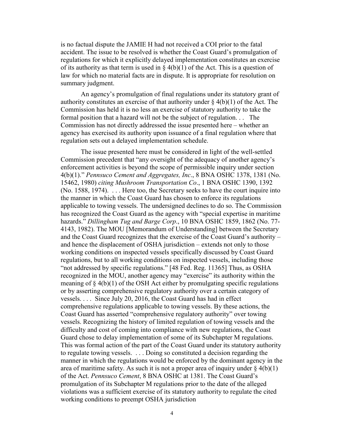is no factual dispute the JAMIE H had not received a COI prior to the fatal accident. The issue to be resolved is whether the Coast Guard's promulgation of regulations for which it explicitly delayed implementation constitutes an exercise of its authority as that term is used in  $\S$  4(b)(1) of the Act. This is a question of law for which no material facts are in dispute. It is appropriate for resolution on summary judgment.

An agency's promulgation of final regulations under its statutory grant of authority constitutes an exercise of that authority under  $\S 4(b)(1)$  of the Act. The Commission has held it is no less an exercise of statutory authority to take the formal position that a hazard will not be the subject of regulation. . . The Commission has not directly addressed the issue presented here – whether an agency has exercised its authority upon issuance of a final regulation where that regulation sets out a delayed implementation schedule.

The issue presented here must be considered in light of the well-settled Commission precedent that "any oversight of the adequacy of another agency's enforcement activities is beyond the scope of permissible inquiry under section 4(b)(1)." *Pennsuco Cement and Aggregates, Inc*., 8 BNA OSHC 1378, 1381 (No. 15462, 1980) *citing Mushroom Transportation Co*., 1 BNA OSHC 1390, 1392 (No. 1588, 1974). . . . Here too, the Secretary seeks to have the court inquire into the manner in which the Coast Guard has chosen to enforce its regulations applicable to towing vessels. The undersigned declines to do so. The Commission has recognized the Coast Guard as the agency with "special expertise in maritime hazards." *Dillingham Tug and Barge Corp*., 10 BNA OSHC 1859, 1862 (No. 77- 4143, 1982). The MOU [Memorandum of Understanding] between the Secretary and the Coast Guard recognizes that the exercise of the Coast Guard's authority – and hence the displacement of OSHA jurisdiction – extends not only to those working conditions on inspected vessels specifically discussed by Coast Guard regulations, but to all working conditions on inspected vessels, including those "not addressed by specific regulations." [48 Fed. Reg. 11365] Thus, as OSHA recognized in the MOU, another agency may "exercise" its authority within the meaning of  $\S 4(b)(1)$  of the OSH Act either by promulgating specific regulations or by asserting comprehensive regulatory authority over a certain category of vessels. . . . Since July 20, 2016, the Coast Guard has had in effect comprehensive regulations applicable to towing vessels. By these actions, the Coast Guard has asserted "comprehensive regulatory authority" over towing vessels. Recognizing the history of limited regulation of towing vessels and the difficulty and cost of coming into compliance with new regulations, the Coast Guard chose to delay implementation of some of its Subchapter M regulations. This was formal action of the part of the Coast Guard under its statutory authority to regulate towing vessels. . . . Doing so constituted a decision regarding the manner in which the regulations would be enforced by the dominant agency in the area of maritime safety. As such it is not a proper area of inquiry under  $\S 4(b)(1)$ of the Act. *Pennsuco Cement*, 8 BNA OSHC at 1381. The Coast Guard's promulgation of its Subchapter M regulations prior to the date of the alleged violations was a sufficient exercise of its statutory authority to regulate the cited working conditions to preempt OSHA jurisdiction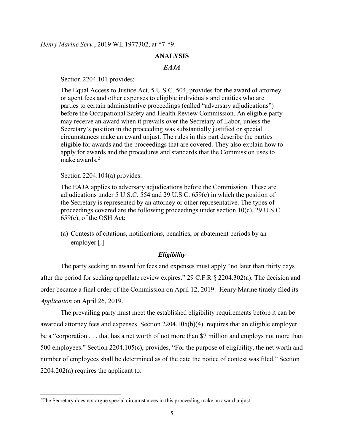#### **ANALYSIS**

### *EAJA*

Section 2204.101 provides:

The Equal Access to Justice Act, 5 U.S.C. 504, provides for the award of attorney or agent fees and other expenses to eligible individuals and entities who are parties to certain administrative proceedings (called "adversary adjudications") before the Occupational Safety and Health Review Commission. An eligible party may receive an award when it prevails over the Secretary of Labor, unless the Secretary's position in the proceeding was substantially justified or special circumstances make an award unjust. The rules in this part describe the parties eligible for awards and the proceedings that are covered. They also explain how to apply for awards and the procedures and standards that the Commission uses to make awards. $2$ 

Section 2204.104(a) provides:

The EAJA applies to adversary adjudications before the Commission. These are adjudications under 5 U.S.C. 554 and 29 U.S.C. 659(c) in which the position of the Secretary is represented by an attorney or other representative. The types of proceedings covered are the following proceedings under section 10(c), 29 U.S.C. 659(c), of the OSH Act:

(a) Contests of citations, notifications, penalties, or abatement periods by an employer [.]

#### *Eligibility*

 The party seeking an award for fees and expenses must apply "no later than thirty days after the period for seeking appellate review expires." 29 C.F.R § 2204.302(a). The decision and order became a final order of the Commission on April 12, 2019. Henry Marine timely filed its *Application* on April 26, 2019.

The prevailing party must meet the established eligibility requirements before it can be awarded attorney fees and expenses. Section 2204.105(b)(4) requires that an eligible employer be a "corporation . . . that has a net worth of not more than \$7 million and employs not more than 500 employees." Section 2204.105(c), provides, "For the purpose of eligibility, the net worth and number of employees shall be determined as of the date the notice of contest was filed." Section 2204.202(a) requires the applicant to:

<span id="page-4-0"></span><sup>&</sup>lt;sup>2</sup>The Secretary does not argue special circumstances in this proceeding make an award unjust.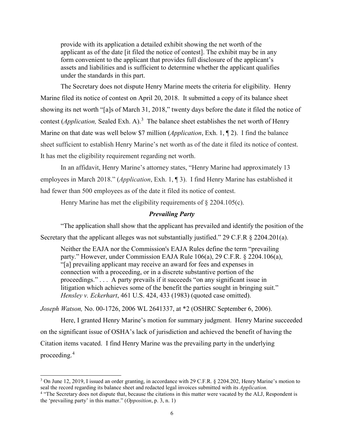provide with its application a detailed exhibit showing the net worth of the applicant as of the date [it filed the notice of contest]. The exhibit may be in any form convenient to the applicant that provides full disclosure of the applicant's assets and liabilities and is sufficient to determine whether the applicant qualifies under the standards in this part.

The Secretary does not dispute Henry Marine meets the criteria for eligibility. Henry Marine filed its notice of contest on April 20, 2018. It submitted a copy of its balance sheet showing its net worth "[a]s of March 31, 2018," twenty days before the date it filed the notice of contest (*Application*, Sealed Exh. A).<sup>[3](#page-5-0)</sup> The balance sheet establishes the net worth of Henry Marine on that date was well below \$7 million (*Application*, Exh. 1, ¶ 2). I find the balance sheet sufficient to establish Henry Marine's net worth as of the date it filed its notice of contest. It has met the eligibility requirement regarding net worth.

 In an affidavit, Henry Marine's attorney states, "Henry Marine had approximately 13 employees in March 2018." (*Application*, Exh. 1, ¶ 3). I find Henry Marine has established it had fewer than 500 employees as of the date it filed its notice of contest.

Henry Marine has met the eligibility requirements of § 2204.105(c).

### *Prevailing Party*

"The application shall show that the applicant has prevailed and identify the position of the Secretary that the applicant alleges was not substantially justified." 29 C.F.R § 2204.201(a).

Neither the EAJA nor the Commission's EAJA Rules define the term "prevailing party." However, under Commission EAJA Rule 106(a), 29 C.F.R. § 2204.106(a), "[a] prevailing applicant may receive an award for fees and expenses in connection with a proceeding, or in a discrete substantive portion of the proceedings." . . . A party prevails if it succeeds "on any significant issue in litigation which achieves some of the benefit the parties sought in bringing suit." *Hensley v. Eckerhart*, 461 U.S. 424, 433 (1983) (quoted case omitted).

*Joseph Watson,* No. 00-1726, 2006 WL 2641337, at \*2 (OSHRC September 6, 2006).

 Here, I granted Henry Marine's motion for summary judgment. Henry Marine succeeded on the significant issue of OSHA's lack of jurisdiction and achieved the benefit of having the Citation items vacated. I find Henry Marine was the prevailing party in the underlying proceeding.[4](#page-5-1)

<span id="page-5-0"></span><sup>&</sup>lt;sup>3</sup> On June 12, 2019, I issued an order granting, in accordance with 29 C.F.R.  $\S$  2204.202, Henry Marine's motion to seal the record regarding its balance sheet and redacted legal invoices submitted with its *Application* 

<span id="page-5-1"></span><sup>&</sup>lt;sup>4</sup> "The Secretary does not dispute that, because the citations in this matter were vacated by the ALJ, Respondent is the 'prevailing party' in this matter." (*Opposition*, p. 3, n. 1)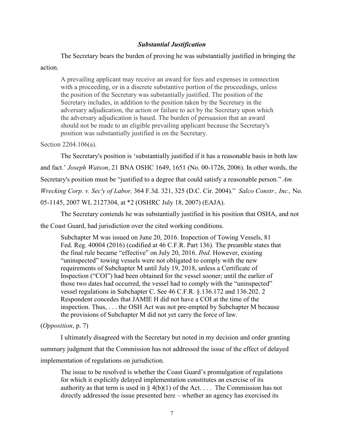### *Substantial Justification*

The Secretary bears the burden of proving he was substantially justified in bringing the

### action.

A prevailing applicant may receive an award for fees and expenses in connection with a proceeding, or in a discrete substantive portion of the proceedings, unless the position of the Secretary was substantially justified. The position of the Secretary includes, in addition to the position taken by the Secretary in the adversary adjudication, the action or failure to act by the Secretary upon which the adversary adjudication is based. The burden of persuasion that an award should not be made to an eligible prevailing applicant because the Secretary's position was substantially justified is on the Secretary.

### Section 2204.106(a).

The Secretary's position is 'substantially justified if it has a reasonable basis in both law and fact.' *Joseph Watson*, 21 BNA OSHC 1649, 1651 (No. 00-1726, 2006). In other words, the Secretary's position must be "justified to a degree that could satisfy a reasonable person." *Am. Wrecking Corp. v. Sec'y of Labor,* 364 F.3d. 321, 325 (D.C. Cir. 2004)." *Salco Constr., Inc.,* No. 05-1145, 2007 WL 2127304, at \*2 (OSHRC July 18, 2007) (EAJA).

 The Secretary contends he was substantially justified in his position that OSHA, and not the Coast Guard, had jurisdiction over the cited working conditions.

Subchapter M was issued on June 20, 2016. Inspection of Towing Vessels, 81 Fed. Reg. 40004 (2016) (codified at 46 C.F.R. Part 136). The preamble states that the final rule became "effective" on July 20, 2016. *Ibid*. However, existing "uninspected" towing vessels were not obligated to comply with the new requirements of Subchapter M until July 19, 2018, unless a Certificate of Inspection ("COI") had been obtained for the vessel sooner; until the earlier of those two dates had occurred, the vessel had to comply with the "uninspected" vessel regulations in Subchapter C. See 46 C.F.R. §.136.172 and 136.202. 2 Respondent concedes that JAMIE H did not have a COI at the time of the inspection. Thus, . . . the OSH Act was not pre-empted by Subchapter M because the provisions of Subchapter M did not yet carry the force of law.

### (*Opposition*, p. 7)

I ultimately disagreed with the Secretary but noted in my decision and order granting summary judgment that the Commission has not addressed the issue of the effect of delayed implementation of regulations on jurisdiction.

The issue to be resolved is whether the Coast Guard's promulgation of regulations for which it explicitly delayed implementation constitutes an exercise of its authority as that term is used in  $\S 4(b)(1)$  of the Act.... The Commission has not directly addressed the issue presented here – whether an agency has exercised its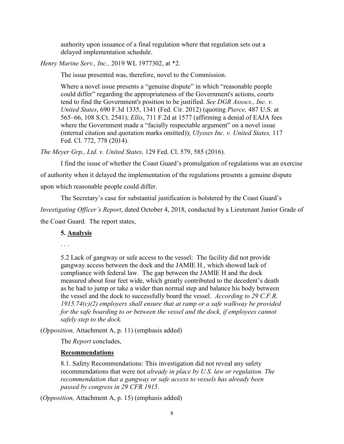authority upon issuance of a final regulation where that regulation sets out a delayed implementation schedule.

*Henry Marine Serv., Inc.,* 2019 WL 1977302, at \*2.

The issue presented was, therefore, novel to the Commission.

Where a novel issue presents a "genuine dispute" in which "reasonable people could differ" regarding the appropriateness of the Government's actions, courts tend to find the Government's position to be justified. *See DGR Assocs., Inc. v. United States*, 690 F.3d 1335, 1341 (Fed. Cir. 2012) (quoting *Pierce,* 487 U.S. at 565–66, 108 S.Ct. 2541); *Ellis*, 711 F.2d at 1577 (affirming a denial of EAJA fees where the Government made a "facially respectable argument" on a novel issue (internal citation and quotation marks omitted)); *Ulysses Inc. v. United States,* 117 Fed. Cl. 772, 778 (2014).

*The Meyer Grp., Ltd. v. United States,* 129 Fed. Cl. 579, 585 (2016).

I find the issue of whether the Coast Guard's promulgation of regulations was an exercise of authority when it delayed the implementation of the regulations presents a genuine dispute upon which reasonable people could differ.

The Secretary's case for substantial justification is bolstered by the Coast Guard's

*Investigating Officer's Report*, dated October 4, 2018, conducted by a Lieutenant Junior Grade of

the Coast Guard. The report states,

### **5. Analysis**

. . .

5.2 Lack of gangway or safe access to the vessel: The facility did not provide gangway access between the dock and the JAMIE H., which showed lack of compliance with federal law. The gap between the JAMIE H and the dock measured about four feet wide, which greatly contributed to the decedent's death as he had to jump or take a wider than normal step and balance his body between the vessel and the dock to successfully board the vessel. *According to 29 C.F.R. 1915.74(c)(2) employers shall ensure that at ramp or a safe walkway be provided*  for the safe boarding to or between the vessel and the dock, if employees cannot *safely step to the dock.* 

(*Opposition,* Attachment A, p. 11) (emphasis added)

The *Report* concludes,

### **Recommendations**

8.1. Safety Recommendations: This investigation did not reveal any safety recommendations that were not *already in place by U.S. law or regulation. The recommendation that a gangway or safe access to vessels has already been passed by congress in 29 CFR 1915.* 

(*Opposition,* Attachment A, p. 15) (emphasis added)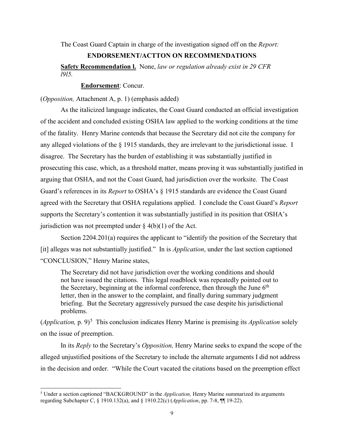The Coast Guard Captain in charge of the investigation signed off on the *Report:*

### **ENDORSEMENT/ACTTON ON RECOMMENDATIONS**

**Safety Recommendation l.** None, *law or regulation already exist in 29 CFR l9l5.*

**Endorsement**: Concur.

(*Opposition,* Attachment A, p. 1) (emphasis added)

 As the italicized language indicates, the Coast Guard conducted an official investigation of the accident and concluded existing OSHA law applied to the working conditions at the time of the fatality. Henry Marine contends that because the Secretary did not cite the company for any alleged violations of the § 1915 standards, they are irrelevant to the jurisdictional issue. I disagree. The Secretary has the burden of establishing it was substantially justified in prosecuting this case, which, as a threshold matter, means proving it was substantially justified in arguing that OSHA, and not the Coast Guard, had jurisdiction over the worksite. The Coast Guard's references in its *Report* to OSHA's § 1915 standards are evidence the Coast Guard agreed with the Secretary that OSHA regulations applied. I conclude the Coast Guard's *Report* supports the Secretary's contention it was substantially justified in its position that OSHA's jurisdiction was not preempted under  $\S$  4(b)(1) of the Act.

Section 2204.201(a) requires the applicant to "identify the position of the Secretary that [it] alleges was not substantially justified." In is *Application*, under the last section captioned "CONCLUSION," Henry Marine states,

The Secretary did not have jurisdiction over the working conditions and should not have issued the citations. This legal roadblock was repeatedly pointed out to the Secretary, beginning at the informal conference, then through the June  $6<sup>th</sup>$ letter, then in the answer to the complaint, and finally during summary judgment briefing. But the Secretary aggressively pursued the case despite his jurisdictional problems.

(*Application*, p. 9)<sup>[5](#page-8-0)</sup> This conclusion indicates Henry Marine is premising its *Application* solely on the issue of preemption.

In its *Reply* to the Secretary's *Opposition,* Henry Marine seeks to expand the scope of the alleged unjustified positions of the Secretary to include the alternate arguments I did not address in the decision and order. "While the Court vacated the citations based on the preemption effect

<span id="page-8-0"></span><sup>5</sup> Under a section captioned "BACKGROUND" in the *Application,* Henry Marine summarized its arguments regarding Subchapter C, § 1910.132(a), and § 1910.22(c) (*Application*, pp. 7-8, ¶¶ 19-22).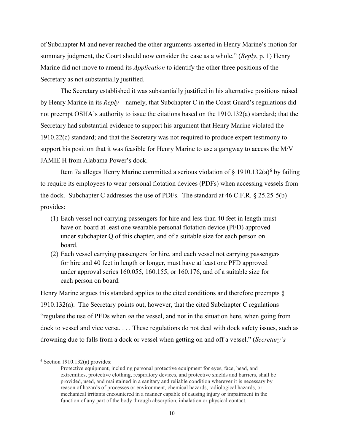of Subchapter M and never reached the other arguments asserted in Henry Marine's motion for summary judgment, the Court should now consider the case as a whole." (*Reply*, p. 1) Henry Marine did not move to amend its *Application* to identify the other three positions of the Secretary as not substantially justified.

The Secretary established it was substantially justified in his alternative positions raised by Henry Marine in its *Reply*—namely, that Subchapter C in the Coast Guard's regulations did not preempt OSHA's authority to issue the citations based on the 1910.132(a) standard; that the Secretary had substantial evidence to support his argument that Henry Marine violated the 1910.22(c) standard; and that the Secretary was not required to produce expert testimony to support his position that it was feasible for Henry Marine to use a gangway to access the M/V JAMIE H from Alabama Power's dock.

Item 7a alleges Henry Marine committed a serious violation of  $\S$  1910.132(a)<sup>[6](#page-9-0)</sup> by failing to require its employees to wear personal flotation devices (PDFs) when accessing vessels from the dock. Subchapter C addresses the use of PDFs. The standard at 46 C.F.R. § 25.25-5(b) provides:

- (1) Each vessel not carrying passengers for hire and less than 40 feet in length must have on board at least one wearable personal flotation device (PFD) approved under subchapter Q of this chapter, and of a suitable size for each person on board.
- (2) Each vessel carrying passengers for hire, and each vessel not carrying passengers for hire and 40 feet in length or longer, must have at least one PFD approved under approval series 160.055, 160.155, or 160.176, and of a suitable size for each person on board.

Henry Marine argues this standard applies to the cited conditions and therefore preempts  $\S$ 1910.132(a). The Secretary points out, however, that the cited Subchapter C regulations "regulate the use of PFDs when *on* the vessel, and not in the situation here, when going from dock to vessel and vice versa. . . . These regulations do not deal with dock safety issues, such as drowning due to falls from a dock or vessel when getting on and off a vessel." (*Secretary's* 

<span id="page-9-0"></span> $6$  Section 1910.132(a) provides:

Protective equipment, including personal protective equipment for eyes, face, head, and extremities, protective clothing, respiratory devices, and protective shields and barriers, shall be provided, used, and maintained in a sanitary and reliable condition wherever it is necessary by reason of hazards of processes or environment, chemical hazards, radiological hazards, or mechanical irritants encountered in a manner capable of causing injury or impairment in the function of any part of the body through absorption, inhalation or physical contact.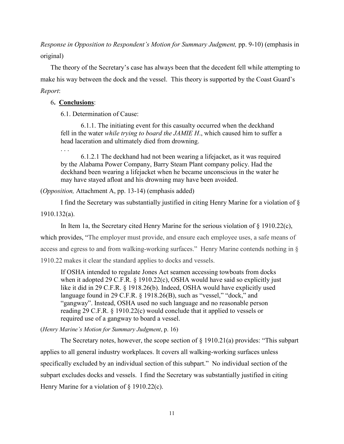*Response in Opposition to Respondent's Motion for Summary Judgment,* pp. 9-10) (emphasis in original)

The theory of the Secretary's case has always been that the decedent fell while attempting to make his way between the dock and the vessel. This theory is supported by the Coast Guard's *Report*:

### 6**. Conclusions**:

6.1. Determination of Cause:

 6.1.1. The initiating event for this casualty occurred when the deckhand fell in the water *while trying to board the JAMIE H*., which caused him to suffer a head laceration and ultimately died from drowning.

. . .

 6.1.2.1 The deckhand had not been wearing a lifejacket, as it was required by the Alabama Power Company, Barry Steam Plant company policy. Had the deckhand been wearing a lifejacket when he became unconscious in the water he may have stayed afloat and his drowning may have been avoided.

### (*Opposition,* Attachment A, pp. 13-14) (emphasis added)

I find the Secretary was substantially justified in citing Henry Marine for a violation of § 1910.132(a).

In Item 1a, the Secretary cited Henry Marine for the serious violation of  $\S$  1910.22(c), which provides, "The employer must provide, and ensure each employee uses, a safe means of access and egress to and from walking-working surfaces." Henry Marine contends nothing in § 1910.22 makes it clear the standard applies to docks and vessels.

If OSHA intended to regulate Jones Act seamen accessing towboats from docks when it adopted 29 C.F.R. § 1910.22(c), OSHA would have said so explicitly just like it did in 29 C.F.R. § 1918.26(b). Indeed, OSHA would have explicitly used language found in 29 C.F.R. § 1918.26(B), such as "vessel," "dock," and "gangway". Instead, OSHA used no such language and no reasonable person reading 29 C.F.R. § 1910.22(c) would conclude that it applied to vessels or required use of a gangway to board a vessel.

(*Henry Marine's Motion for Summary Judgment*, p. 16)

The Secretary notes, however, the scope section of  $\S$  1910.21(a) provides: "This subpart applies to all general industry workplaces. It covers all walking-working surfaces unless specifically excluded by an individual section of this subpart." No individual section of the subpart excludes docks and vessels. I find the Secretary was substantially justified in citing Henry Marine for a violation of § 1910.22(c).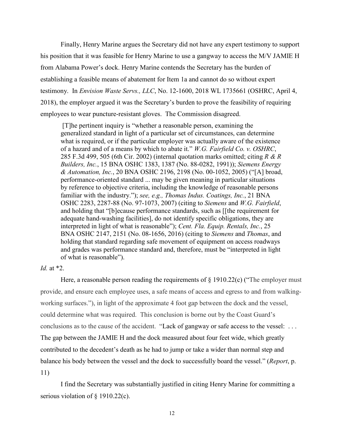Finally, Henry Marine argues the Secretary did not have any expert testimony to support his position that it was feasible for Henry Marine to use a gangway to access the M/V JAMIE H from Alabama Power's dock. Henry Marine contends the Secretary has the burden of establishing a feasible means of abatement for Item 1a and cannot do so without expert testimony. In *Envision Waste Servs., LLC*, No. 12-1600, 2018 WL 1735661 (OSHRC, April 4, 2018), the employer argued it was the Secretary's burden to prove the feasibility of requiring employees to wear puncture-resistant gloves. The Commission disagreed.

 [T]he pertinent inquiry is "whether a reasonable person, examining the generalized standard in light of a particular set of circumstances, can determine what is required, or if the particular employer was actually aware of the existence of a hazard and of a means by which to abate it." *W.G. Fairfield Co. v. OSHRC*, 285 F.3d 499, 505 (6th Cir. 2002) (internal quotation marks omitted; citing *R & R Builders, Inc.*, 15 BNA OSHC 1383, 1387 (No. 88-0282, 1991)); *Siemens Energy & Automation, Inc.*, 20 BNA OSHC 2196, 2198 (No. 00-1052, 2005) ("[A] broad, performance-oriented standard ... may be given meaning in particular situations by reference to objective criteria, including the knowledge of reasonable persons familiar with the industry."); *see, e.g., Thomas Indus. Coatings, Inc.*, 21 BNA OSHC 2283, 2287-88 (No. 97-1073, 2007) (citing to *Siemens* and *W.G. Fairfield*, and holding that "[b]ecause performance standards, such as [[the requirement for adequate hand-washing facilities], do not identify specific obligations, they are interpreted in light of what is reasonable"); *Cent. Fla. Equip. Rentals, Inc.*, 25 BNA OSHC 2147, 2151 (No. 08-1656, 2016) (citing to *Siemens* and *Thomas*, and holding that standard regarding safe movement of equipment on access roadways and grades was performance standard and, therefore, must be "interpreted in light of what is reasonable").

### *Id.* at \*2.

Here, a reasonable person reading the requirements of  $\S$  1910.22(c) ("The employer must provide, and ensure each employee uses, a safe means of access and egress to and from walkingworking surfaces."), in light of the approximate 4 foot gap between the dock and the vessel, could determine what was required. This conclusion is borne out by the Coast Guard's conclusions as to the cause of the accident. "Lack of gangway or safe access to the vessel: . . . The gap between the JAMIE H and the dock measured about four feet wide, which greatly contributed to the decedent's death as he had to jump or take a wider than normal step and balance his body between the vessel and the dock to successfully board the vessel." (*Report*, p. 11)

I find the Secretary was substantially justified in citing Henry Marine for committing a serious violation of § 1910.22(c).